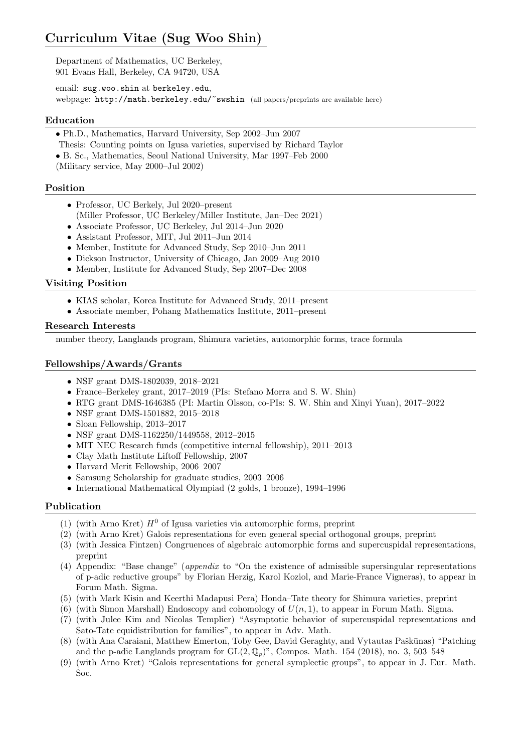# Curriculum Vitae (Sug Woo Shin)

Department of Mathematics, UC Berkeley, 901 Evans Hall, Berkeley, CA 94720, USA

email: sug.woo.shin at berkeley.edu, webpage: http://math.berkeley.edu/~swshin (all papers/preprints are available here)

# Education

- Ph.D., Mathematics, Harvard University, Sep 2002–Jun 2007
- Thesis: Counting points on Igusa varieties, supervised by Richard Taylor
- B. Sc., Mathematics, Seoul National University, Mar 1997–Feb 2000

(Military service, May 2000–Jul 2002)

# Position

- Professor, UC Berkely, Jul 2020–present
- (Miller Professor, UC Berkeley/Miller Institute, Jan–Dec 2021)
- Associate Professor, UC Berkeley, Jul 2014–Jun 2020
- Assistant Professor, MIT, Jul 2011–Jun 2014
- Member, Institute for Advanced Study, Sep 2010–Jun 2011
- Dickson Instructor, University of Chicago, Jan 2009–Aug 2010
- Member, Institute for Advanced Study, Sep 2007–Dec 2008

#### Visiting Position

- KIAS scholar, Korea Institute for Advanced Study, 2011–present
- Associate member, Pohang Mathematics Institute, 2011–present

#### Research Interests

number theory, Langlands program, Shimura varieties, automorphic forms, trace formula

# Fellowships/Awards/Grants

- NSF grant DMS-1802039, 2018-2021
- France–Berkeley grant, 2017–2019 (PIs: Stefano Morra and S. W. Shin)
- RTG grant DMS-1646385 (PI: Martin Olsson, co-PIs: S. W. Shin and Xinyi Yuan), 2017–2022
- NSF grant DMS-1501882, 2015–2018
- Sloan Fellowship, 2013–2017
- NSF grant DMS-1162250/1449558, 2012–2015
- MIT NEC Research funds (competitive internal fellowship), 2011–2013
- Clay Math Institute Liftoff Fellowship, 2007
- Harvard Merit Fellowship, 2006–2007
- Samsung Scholarship for graduate studies, 2003–2006
- International Mathematical Olympiad (2 golds, 1 bronze), 1994–1996

# Publication

- (1) (with Arno Kret)  $H^0$  of Igusa varieties via automorphic forms, preprint
- (2) (with Arno Kret) Galois representations for even general special orthogonal groups, preprint
- (3) (with Jessica Fintzen) Congruences of algebraic automorphic forms and supercuspidal representations, preprint
- (4) Appendix: "Base change" (appendix to "On the existence of admissible supersingular representations of p-adic reductive groups" by Florian Herzig, Karol Koziol, and Marie-France Vigneras), to appear in Forum Math. Sigma.
- (5) (with Mark Kisin and Keerthi Madapusi Pera) Honda–Tate theory for Shimura varieties, preprint
- (6) (with Simon Marshall) Endoscopy and cohomology of  $U(n, 1)$ , to appear in Forum Math. Sigma.
- (7) (with Julee Kim and Nicolas Templier) "Asymptotic behavior of supercuspidal representations and Sato-Tate equidistribution for families", to appear in Adv. Math.
- (8) (with Ana Caraiani, Matthew Emerton, Toby Gee, David Geraghty, and Vytautas Paškūnas) "Patching and the p-adic Langlands program for  $GL(2,\mathbb{Q}_p)$ ", Compos. Math. 154 (2018), no. 3, 503-548
- (9) (with Arno Kret) "Galois representations for general symplectic groups", to appear in J. Eur. Math. Soc.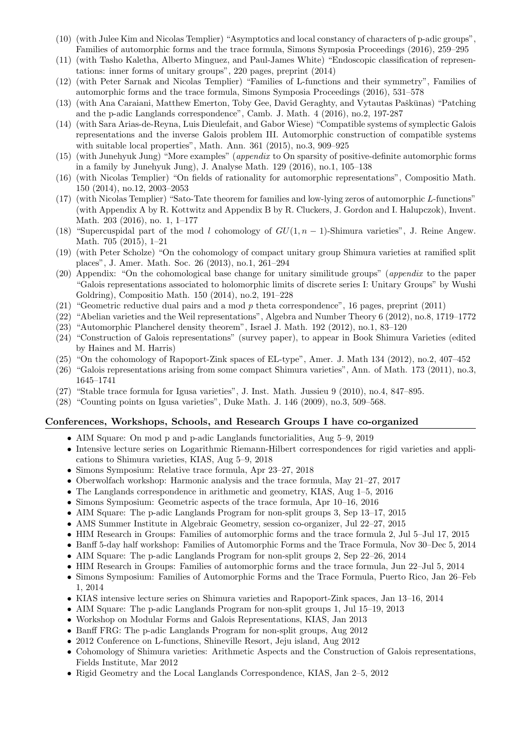- (10) (with Julee Kim and Nicolas Templier) "Asymptotics and local constancy of characters of p-adic groups", Families of automorphic forms and the trace formula, Simons Symposia Proceedings (2016), 259–295
- (11) (with Tasho Kaletha, Alberto Minguez, and Paul-James White) "Endoscopic classification of representations: inner forms of unitary groups", 220 pages, preprint (2014)
- (12) (with Peter Sarnak and Nicolas Templier) "Families of L-functions and their symmetry", Families of automorphic forms and the trace formula, Simons Symposia Proceedings (2016), 531–578
- (13) (with Ana Caraiani, Matthew Emerton, Toby Gee, David Geraghty, and Vytautas Paškūnas) "Patching and the p-adic Langlands correspondence", Camb. J. Math. 4 (2016), no.2, 197-287
- (14) (with Sara Arias-de-Reyna, Luis Dieulefait, and Gabor Wiese) "Compatible systems of symplectic Galois representations and the inverse Galois problem III. Automorphic construction of compatible systems with suitable local properties", Math. Ann. 361 (2015), no.3, 909–925
- (15) (with Junehyuk Jung) "More examples" (appendix to On sparsity of positive-definite automorphic forms in a family by Junehyuk Jung), J. Analyse Math. 129 (2016), no.1, 105–138
- (16) (with Nicolas Templier) "On fields of rationality for automorphic representations", Compositio Math. 150 (2014), no.12, 2003–2053
- (17) (with Nicolas Templier) "Sato-Tate theorem for families and low-lying zeros of automorphic L-functions" (with Appendix A by R. Kottwitz and Appendix B by R. Cluckers, J. Gordon and I. Halupczok), Invent. Math. 203 (2016), no. 1, 1–177
- (18) "Supercuspidal part of the mod l cohomology of  $GU(1, n 1)$ -Shimura varieties", J. Reine Angew. Math. 705 (2015), 1–21
- (19) (with Peter Scholze) "On the cohomology of compact unitary group Shimura varieties at ramified split places", J. Amer. Math. Soc. 26 (2013), no.1, 261–294
- (20) Appendix: "On the cohomological base change for unitary similitude groups" (appendix to the paper "Galois representations associated to holomorphic limits of discrete series I: Unitary Groups" by Wushi Goldring), Compositio Math. 150 (2014), no.2, 191–228
- (21) "Geometric reductive dual pairs and a mod p theta correspondence", 16 pages, preprint (2011)
- (22) "Abelian varieties and the Weil representations", Algebra and Number Theory 6 (2012), no.8, 1719–1772
- (23) "Automorphic Plancherel density theorem", Israel J. Math. 192 (2012), no.1, 83–120
- (24) "Construction of Galois representations" (survey paper), to appear in Book Shimura Varieties (edited by Haines and M. Harris)
- (25) "On the cohomology of Rapoport-Zink spaces of EL-type", Amer. J. Math 134 (2012), no.2, 407–452
- (26) "Galois representations arising from some compact Shimura varieties", Ann. of Math. 173 (2011), no.3, 1645–1741
- (27) "Stable trace formula for Igusa varieties", J. Inst. Math. Jussieu 9 (2010), no.4, 847–895.
- (28) "Counting points on Igusa varieties", Duke Math. J. 146 (2009), no.3, 509–568.

#### Conferences, Workshops, Schools, and Research Groups I have co-organized

- AIM Square: On mod p and p-adic Langlands functorialities, Aug 5–9, 2019
- Intensive lecture series on Logarithmic Riemann-Hilbert correspondences for rigid varieties and applications to Shimura varieties, KIAS, Aug 5–9, 2018
- Simons Symposium: Relative trace formula, Apr 23–27, 2018
- Oberwolfach workshop: Harmonic analysis and the trace formula, May 21–27, 2017
- The Langlands correspondence in arithmetic and geometry, KIAS, Aug 1–5, 2016
- Simons Symposium: Geometric aspects of the trace formula, Apr 10–16, 2016
- AIM Square: The p-adic Langlands Program for non-split groups 3, Sep 13–17, 2015
- AMS Summer Institute in Algebraic Geometry, session co-organizer, Jul 22–27, 2015
- HIM Research in Groups: Families of automorphic forms and the trace formula 2, Jul 5–Jul 17, 2015
- Banff 5-day half workshop: Families of Automorphic Forms and the Trace Formula, Nov 30–Dec 5, 2014
- AIM Square: The p-adic Langlands Program for non-split groups 2, Sep 22–26, 2014
- HIM Research in Groups: Families of automorphic forms and the trace formula, Jun 22–Jul 5, 2014
- Simons Symposium: Families of Automorphic Forms and the Trace Formula, Puerto Rico, Jan 26–Feb 1, 2014
- KIAS intensive lecture series on Shimura varieties and Rapoport-Zink spaces, Jan 13–16, 2014
- AIM Square: The p-adic Langlands Program for non-split groups 1, Jul 15–19, 2013
- Workshop on Modular Forms and Galois Representations, KIAS, Jan 2013
- Banff FRG: The p-adic Langlands Program for non-split groups, Aug 2012
- 2012 Conference on L-functions, Shineville Resort, Jeju island, Aug 2012
- Cohomology of Shimura varieties: Arithmetic Aspects and the Construction of Galois representations, Fields Institute, Mar 2012
- Rigid Geometry and the Local Langlands Correspondence, KIAS, Jan 2–5, 2012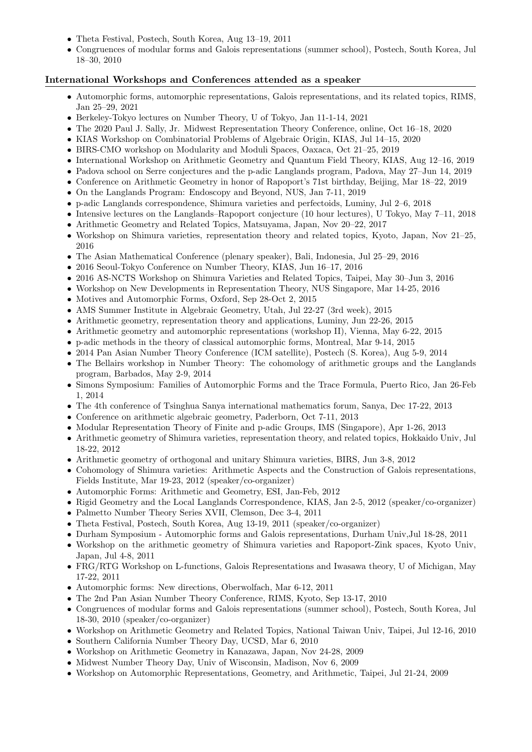- Theta Festival, Postech, South Korea, Aug 13–19, 2011
- Congruences of modular forms and Galois representations (summer school), Postech, South Korea, Jul 18–30, 2010

# International Workshops and Conferences attended as a speaker

- Automorphic forms, automorphic representations, Galois representations, and its related topics, RIMS, Jan 25–29, 2021
- Berkeley-Tokyo lectures on Number Theory, U of Tokyo, Jan 11-1-14, 2021
- The 2020 Paul J. Sally, Jr. Midwest Representation Theory Conference, online, Oct 16–18, 2020
- KIAS Workshop on Combinatorial Problems of Algebraic Origin, KIAS, Jul 14–15, 2020
- BIRS-CMO workshop on Modularity and Moduli Spaces, Oaxaca, Oct 21–25, 2019
- International Workshop on Arithmetic Geometry and Quantum Field Theory, KIAS, Aug 12–16, 2019
- Padova school on Serre conjectures and the p-adic Langlands program, Padova, May 27–Jun 14, 2019
- Conference on Arithmetic Geometry in honor of Rapoport's 71st birthday, Beijing, Mar 18–22, 2019
- On the Langlands Program: Endoscopy and Beyond, NUS, Jan 7-11, 2019
- p-adic Langlands correspondence, Shimura varieties and perfectoids, Luminy, Jul 2–6, 2018
- Intensive lectures on the Langlands–Rapoport conjecture (10 hour lectures), U Tokyo, May 7–11, 2018
- Arithmetic Geometry and Related Topics, Matsuyama, Japan, Nov 20–22, 2017
- Workshop on Shimura varieties, representation theory and related topics, Kyoto, Japan, Nov 21–25, 2016
- The Asian Mathematical Conference (plenary speaker), Bali, Indonesia, Jul 25–29, 2016
- 2016 Seoul-Tokyo Conference on Number Theory, KIAS, Jun 16–17, 2016
- 2016 AS-NCTS Workshop on Shimura Varieties and Related Topics, Taipei, May 30–Jun 3, 2016
- Workshop on New Developments in Representation Theory, NUS Singapore, Mar 14-25, 2016
- Motives and Automorphic Forms, Oxford, Sep 28-Oct 2, 2015
- AMS Summer Institute in Algebraic Geometry, Utah, Jul 22-27 (3rd week), 2015
- Arithmetic geometry, representation theory and applications, Luminy, Jun 22-26, 2015
- Arithmetic geometry and automorphic representations (workshop II), Vienna, May 6-22, 2015
- p-adic methods in the theory of classical automorphic forms, Montreal, Mar 9-14, 2015
- 2014 Pan Asian Number Theory Conference (ICM satellite), Postech (S. Korea), Aug 5-9, 2014
- The Bellairs workshop in Number Theory: The cohomology of arithmetic groups and the Langlands program, Barbados, May 2-9, 2014
- Simons Symposium: Families of Automorphic Forms and the Trace Formula, Puerto Rico, Jan 26-Feb 1, 2014
- The 4th conference of Tsinghua Sanya international mathematics forum, Sanya, Dec 17-22, 2013
- Conference on arithmetic algebraic geometry, Paderborn, Oct 7-11, 2013
- Modular Representation Theory of Finite and p-adic Groups, IMS (Singapore), Apr 1-26, 2013
- Arithmetic geometry of Shimura varieties, representation theory, and related topics, Hokkaido Univ, Jul 18-22, 2012
- Arithmetic geometry of orthogonal and unitary Shimura varieties, BIRS, Jun 3-8, 2012
- Cohomology of Shimura varieties: Arithmetic Aspects and the Construction of Galois representations, Fields Institute, Mar 19-23, 2012 (speaker/co-organizer)
- Automorphic Forms: Arithmetic and Geometry, ESI, Jan-Feb, 2012
- Rigid Geometry and the Local Langlands Correspondence, KIAS, Jan 2-5, 2012 (speaker/co-organizer)
- Palmetto Number Theory Series XVII, Clemson, Dec 3-4, 2011
- Theta Festival, Postech, South Korea, Aug 13-19, 2011 (speaker/co-organizer)
- Durham Symposium Automorphic forms and Galois representations, Durham Univ,Jul 18-28, 2011
- Workshop on the arithmetic geometry of Shimura varieties and Rapoport-Zink spaces, Kyoto Univ, Japan, Jul 4-8, 2011
- FRG/RTG Workshop on L-functions, Galois Representations and Iwasawa theory, U of Michigan, May 17-22, 2011
- Automorphic forms: New directions, Oberwolfach, Mar 6-12, 2011
- The 2nd Pan Asian Number Theory Conference, RIMS, Kyoto, Sep 13-17, 2010
- Congruences of modular forms and Galois representations (summer school), Postech, South Korea, Jul 18-30, 2010 (speaker/co-organizer)
- Workshop on Arithmetic Geometry and Related Topics, National Taiwan Univ, Taipei, Jul 12-16, 2010
- Southern California Number Theory Day, UCSD, Mar 6, 2010
- Workshop on Arithmetic Geometry in Kanazawa, Japan, Nov 24-28, 2009
- Midwest Number Theory Day, Univ of Wisconsin, Madison, Nov 6, 2009
- Workshop on Automorphic Representations, Geometry, and Arithmetic, Taipei, Jul 21-24, 2009